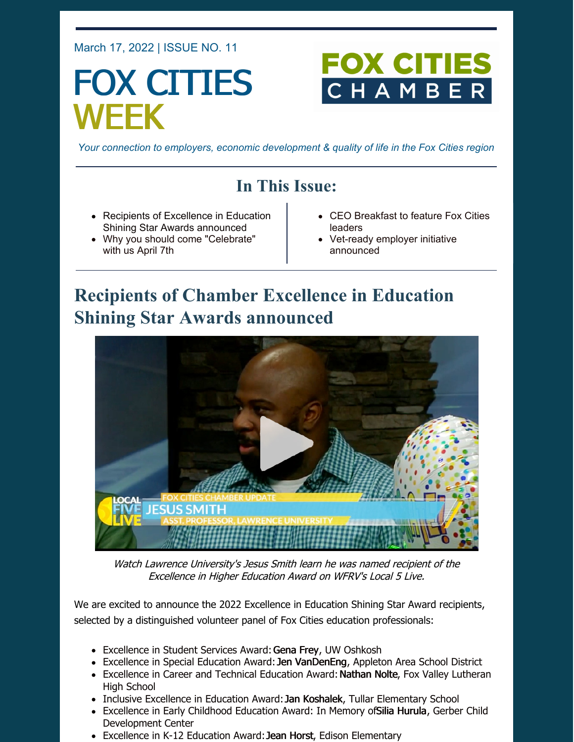#### March 17, 2022 | ISSUE NO. 11

# FOX CITIES WEEK

## FOX CITI CHAMB

*Your connection to employers, economic development & quality of life in the Fox Cities region*

## **In This Issue:**

- Recipients of Excellence in Education Shining Star Awards announced
- Why you should come "Celebrate" with us April 7th
- CEO Breakfast to feature Fox Cities leaders
- Vet-ready employer initiative announced

## **Recipients of Chamber Excellence in Education Shining Star Awards announced**



Watch Lawrence University's Jesus Smith learn he was named recipient of the Excellence in Higher Education Award on WFRV's Local 5 Live.

We are excited to announce the 2022 Excellence in Education Shining Star Award recipients, selected by a distinguished volunteer panel of Fox Cities education professionals:

- Excellence in Student Services Award: Gena Frey, UW Oshkosh
- Excellence in Special Education Award: Jen VanDenEng, Appleton Area School District
- Excellence in Career and Technical Education Award: Nathan Nolte, Fox Valley Lutheran High School
- Inclusive Excellence in Education Award: Jan Koshalek, Tullar Elementary School
- Excellence in Early Childhood Education Award: In Memory of Silia Hurula, Gerber Child Development Center
- Excellence in K-12 Education Award: Jean Horst, Edison Elementary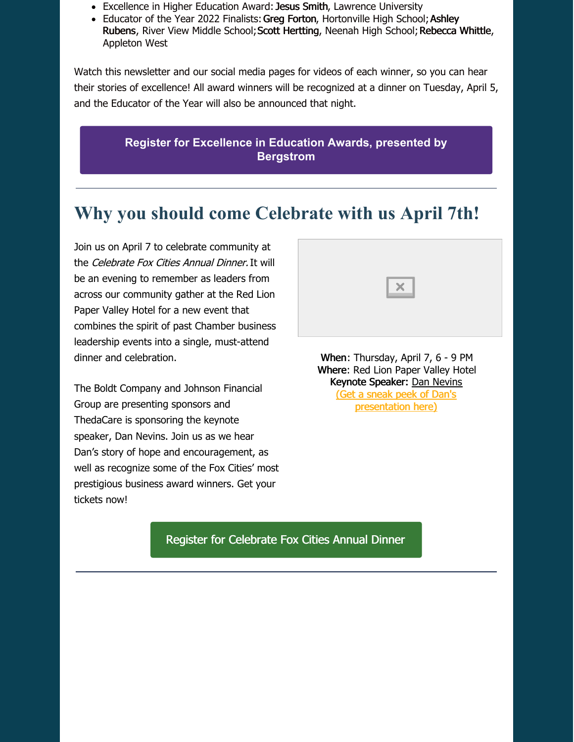- Excellence in Higher Education Award: Jesus Smith, Lawrence University
- Educator of the Year 2022 Finalists: Greg Forton, Hortonville High School; Ashley Rubens, River View Middle School; Scott Hertting, Neenah High School; Rebecca Whittle, Appleton West

Watch this newsletter and our social media pages for videos of each winner, so you can hear their stories of excellence! All award winners will be recognized at a dinner on Tuesday, April 5, and the Educator of the Year will also be announced that night.

> **Register for [Excellence](https://foxcitieschamber.com/talent/excellence-in-education-awards-fox-cities-chamber/) in Education Awards, presented by Bergstrom**

## **Why you should come Celebrate with us April 7th!**

Join us on April 7 to celebrate community at the Celebrate Fox Cities Annual Dinner. It will be an evening to remember as leaders from across our community gather at the Red Lion Paper Valley Hotel for a new event that combines the spirit of past Chamber business leadership events into a single, must-attend dinner and celebration.

The Boldt Company and Johnson Financial Group are presenting sponsors and ThedaCare is sponsoring the keynote speaker, Dan Nevins. Join us as we hear Dan's story of hope and encouragement, as well as recognize some of the Fox Cities' most prestigious business award winners. Get your tickets now!

When: Thursday, April 7, 6 - 9 PM Where: Red Lion Paper Valley Hotel Keynote Speaker: Dan [Nevins](https://youtu.be/-285aAvWvLY) (Get a [sneak](https://youtu.be/-285aAvWvLY) peek of Dan's

 $\times$ 

[presentation](https://youtu.be/-285aAvWvLY) here)

#### Register for [Celebrate](https://business.foxcitieschamber.com/events/details/celebrate-fox-cities-annual-dinner-17275) Fox Cities Annual Dinner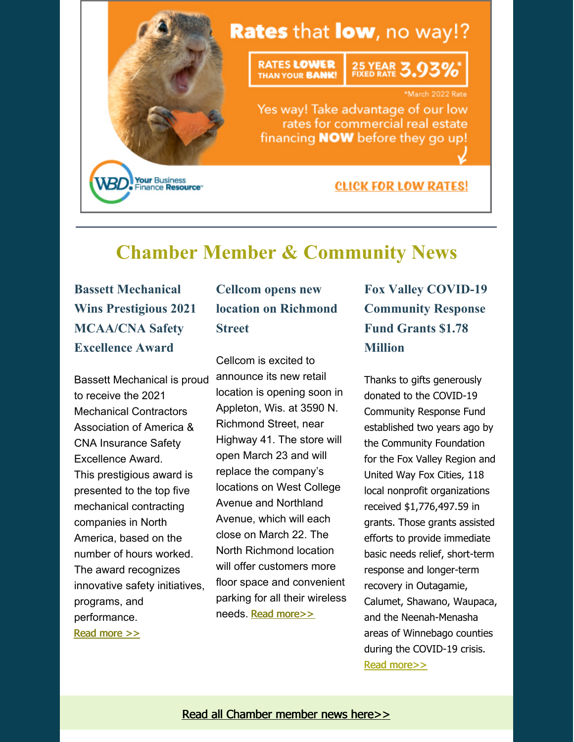

## **Chamber Member & Community News**

**Bassett Mechanical Wins Prestigious 2021 MCAA/CNA Safety Excellence Award**

Bassett Mechanical is proud to receive the 2021 Mechanical Contractors Association of America & CNA Insurance Safety Excellence Award. This prestigious award is presented to the top five mechanical contracting companies in North America, based on the number of hours worked. The award recognizes innovative safety initiatives, programs, and performance. Read [more](https://foxcitieschamber.com/news/2022/03/17/member-news/bassett-mechanical-wins-prestigious-2021-mcaa-cna-safety-excellence-award/) >>

## **Cellcom opens new location on Richmond Street**

Cellcom is excited to announce its new retail location is opening soon in Appleton, Wis. at 3590 N. Richmond Street, near Highway 41. The store will open March 23 and will replace the company's locations on West College Avenue and Northland Avenue, which will each close on March 22. The North Richmond location will offer customers more floor space and convenient parking for all their wireless needs. Read [more>>](https://foxcitieschamber.com/news/2022/03/17/member-news/new-cellcom-location-on-north-richmond-in-appleton/)

## **Fox Valley COVID-19 Community Response Fund Grants \$1.78 Million**

Thanks to gifts generously donated to the COVID-19 Community Response Fund established two years ago by the Community Foundation for the Fox Valley Region and United Way Fox Cities, 118 local nonprofit organizations received \$1,776,497.59 in grants. Those grants assisted efforts to provide immediate basic needs relief, short-term response and longer-term recovery in Outagamie, Calumet, Shawano, Waupaca, and the Neenah-Menasha areas of Winnebago counties during the COVID-19 crisis. Read [more>>](https://foxcitieschamber.com/news/2022/03/17/member-news/fox-valley-covid-19-community-response-fund-grants-1.78-million-to-118-nonprofit-organizations-in-2-years/)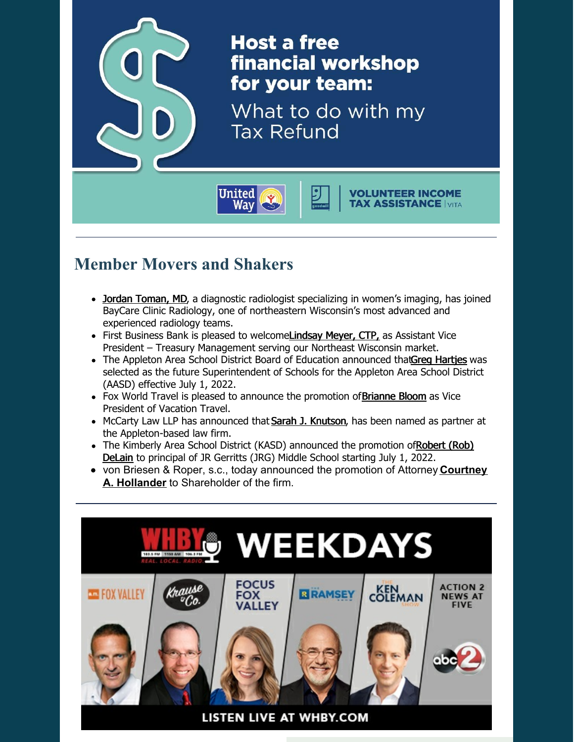

## **Member Movers and Shakers**

- Jordan [Toman,](https://foxcitieschamber.com/news/2022/03/17/member-news/toman-joins-baycare-clinic-radiology/) MD, a diagnostic radiologist specializing in women's imaging, has joined BayCare Clinic Radiology, one of northeastern Wisconsin's most advanced and experienced radiology teams.
- First Business Bank is pleased to welcom[eLindsay](https://foxcitieschamber.com/news/2022/03/17/member-news/lindsay-meyer-ctp-joins-first-business-bank-as-assistant-vice-president-treasury-management/) Meyer, CTP, as Assistant Vice President – Treasury Management serving our Northeast Wisconsin market.
- The Appleton Area School District Board of Education announced thatGreg [Hartjes](https://foxcitieschamber.com/news/2022/03/17/member-news/appleton-area-school-district-announces-future-superintendent/) was selected as the future Superintendent of Schools for the Appleton Area School District (AASD) effective July 1, 2022.
- Fox World Travel is pleased to announce the promotion of **[Brianne](https://foxcitieschamber.com/news/2022/03/17/member-news/fox-world-travel-promotes-brianne-bloom-to-vice-president-vacation-travel/) Bloom** as Vice President of Vacation Travel.
- McCarty Law LLP has announced that Sarah J. [Knutson](https://foxcitieschamber.com/news/2022/03/17/member-news/mccarty-law-names-sarah-j.-knutson-as-partner/), has been named as partner at the Appleton-based law firm.
- The Kimberly Area School District (KASD) [announced](https://foxcitieschamber.com/news/2022/03/17/member-news/assistant-principal-rob-delain-promoted-to-principal-of-jr-gerritts/) the promotion ofRobert (Rob) DeLain to principal of JR Gerritts (JRG) Middle School starting July 1, 2022.
- von Briesen & Roper, s.c., today announced the promotion of Attorney **Courtney A. Hollander** to [Shareholder](https://foxcitieschamber.com/news/2022/03/17/member-news/von-briesen-roper-s.c.-promotes-hollander-to-shareholder/) of the firm.

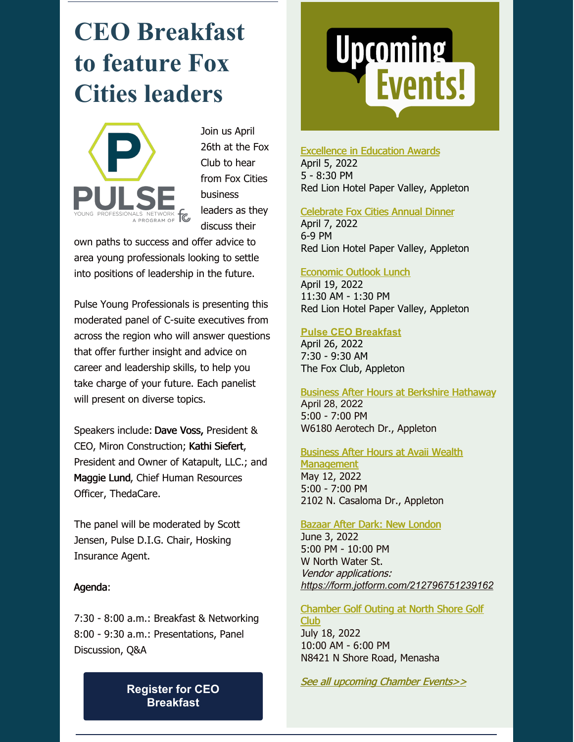# **CEO Breakfast to feature Fox Cities leaders**



Join us April 26th at the Fox Club to hear from Fox Cities business leaders as they discuss their

own paths to success and offer advice to area young professionals looking to settle into positions of leadership in the future.

Pulse Young Professionals is presenting this moderated panel of C-suite executives from across the region who will answer questions that offer further insight and advice on career and leadership skills, to help you take charge of your future. Each panelist will present on diverse topics.

Speakers include: Dave Voss, President & CEO, Miron Construction; Kathi Siefert, President and Owner of Katapult, LLC.; and Maggie Lund, Chief Human Resources Officer, ThedaCare.

The panel will be moderated by Scott Jensen, Pulse D.I.G. Chair, Hosking Insurance Agent.

#### Agenda:

7:30 - 8:00 a.m.: Breakfast & Networking 8:00 - 9:30 a.m.: Presentations, Panel Discussion, Q&A

> **Register for CEO [Breakfast](https://business.foxcitieschamber.com/events/details/2022-pulse-ceo-breakfast-17452)**

# Upcoming<br>Events!

[Excellence](https://foxcitieschamber.com/talent/excellence-in-education-awards-fox-cities-chamber/) in Education Awards

April 5, 2022 5 - 8:30 PM Red Lion Hotel Paper Valley, Appleton

#### [Celebrate](https://business.foxcitieschamber.com/events/details/celebrate-fox-cities-annual-dinner-17275) Fox Cities Annual Dinner

April 7, 2022 6-9 PM Red Lion Hotel Paper Valley, Appleton

#### [Economic](https://business.foxcitieschamber.com/events/details/2022-economic-outlook-lunch-17239) Outlook Lunch

April 19, 2022 11:30 AM - 1:30 PM Red Lion Hotel Paper Valley, Appleton

#### **Pulse CEO [Breakfast](https://business.foxcitieschamber.com/events/details/2022-pulse-ceo-breakfast-17452)**

April 26, 2022 7:30 - 9:30 AM The Fox Club, Appleton

Business After Hours at Berkshire [Hathaway](https://business.foxcitieschamber.com/events/details/2022-business-after-hours-april-17449) April 28, 2022

5:00 - 7:00 PM W6180 Aerotech Dr., Appleton

#### Business After Hours at Avaii Wealth **[Management](https://business.foxcitieschamber.com/events/details/2022-business-after-hours-may-17450)**

May 12, 2022 5:00 - 7:00 PM 2102 N. Casaloma Dr., Appleton

Bazaar After Dark: New [London](https://business.foxcitieschamber.com/events/details/bazaar-after-dark-new-london-17395) June 3, 2022 5:00 PM - 10:00 PM W North Water St. Vendor applications: *<https://form.jotform.com/212796751239162>*

#### [Chamber](https://business.foxcitieschamber.com/events/details/2022-fox-cities-chamber-golf-outing-north-shore-golf-club-17346) Golf Outing at North Shore Golf Club

July 18, 2022 10:00 AM - 6:00 PM N8421 N Shore Road, Menasha

See all [upcoming](https://business.foxcitieschamber.com/events/catgid/6) Chamber Events>>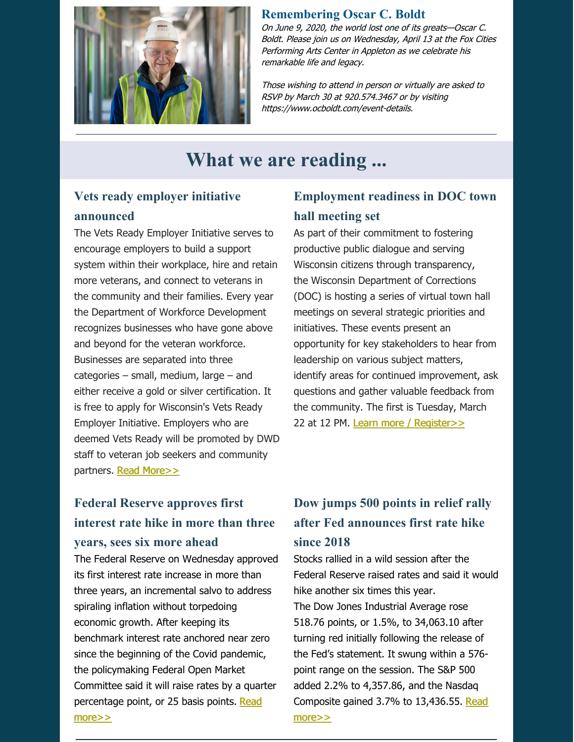

#### **Remembering Oscar C. Boldt**

On June 9, 2020, the world lost one of its greats—Oscar C. Boldt. Please join us on Wednesday, April 13 at the Fox Cities Performing Arts Center in Appleton as we celebrate his remarkable life and legacy.

Those wishing to attend in person or virtually are asked to RSVP by March 30 at 920.574.3467 or by visiting [https://www.ocboldt.com/event-details](https://www.ocboldt.com/event-details?fbclid=IwAR2TYsX1v9LuJ9TVnn2P6vFS2HxwLyiuflK1BbqrEeXzjbC-3YRxFWpuJtY).

## **What we are reading ...**

#### **Vets ready employer initiative announced**

The Vets Ready Employer Initiative serves to encourage employers to build a support system within their workplace, hire and retain more veterans, and connect to veterans in the community and their families. Every year the Department of Workforce Development recognizes businesses who have gone above and beyond for the veteran workforce. Businesses are separated into three categories – small, medium, large – and either receive a gold or silver certification. It is free to apply for Wisconsin's Vets Ready Employer Initiative. Employers who are deemed Vets Ready will be promoted by DWD staff to veteran job seekers and community partners. Read [More>>](http://wisconsinjobcenter.org/veterans/vetsready.htm)

#### **Employment readiness in DOC town hall meeting set**

As part of their commitment to fostering productive public dialogue and serving Wisconsin citizens through transparency, the Wisconsin Department of Corrections (DOC) is hosting a series of virtual town hall meetings on several strategic priorities and initiatives. These events present an opportunity for key stakeholders to hear from leadership on various subject matters, identify areas for continued improvement, ask questions and gather valuable feedback from the community. The first is Tuesday, March 22 at 12 PM. Learn more / [Register>>](https://doc.wi.gov/Pages/TownHalls/TownHallsHome.aspx)

### **Federal Reserve approves first interest rate hike in more than three years, sees six more ahead**

The Federal Reserve on Wednesday approved its first interest rate increase in more than three years, an incremental salvo to address spiraling inflation without torpedoing economic growth. After keeping its benchmark interest rate anchored near zero since the beginning of the Covid pandemic, the policymaking Federal Open Market Committee said it will raise rates by a quarter [percentage](https://www.cnbc.com/2022/03/16/federal-reserve-meeting.html) point, or 25 basis points. Read more>>

## **Dow jumps 500 points in relief rally after Fed announces first rate hike since 2018**

Stocks rallied in a wild session after the Federal Reserve raised rates and said it would hike another six times this year. The Dow Jones Industrial Average rose 518.76 points, or 1.5%, to 34,063.10 after turning red initially following the release of the Fed's statement. It swung within a 576 point range on the session. The S&P 500 added 2.2% to 4,357.86, and the Nasdaq Composite gained 3.7% to [13,436.55.](https://www.cnbc.com/2022/03/15/stock-market-futures-open-to-close-news.html) Read more>>